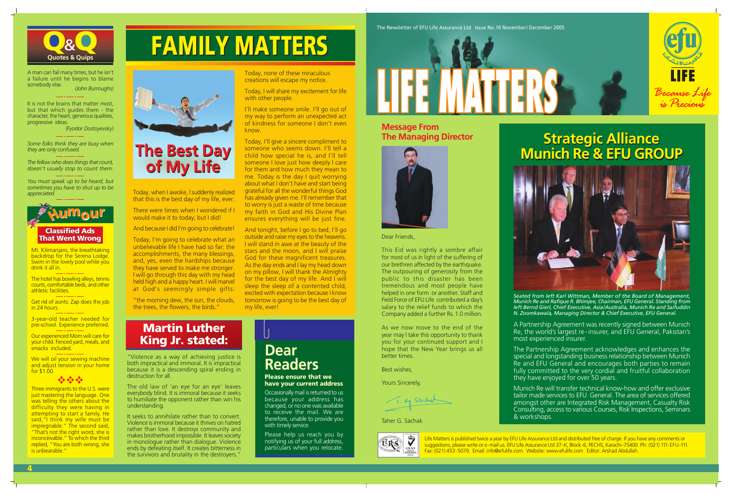4

Life Matters is published twice a year by EFU Life Assurance Ltd and distributed free of charge. If you have any comments or suggestions, please write or e-mail us. EFU Life Assurance Ltd 37-K, Block-6, PECHS, Karachi-75400. Ph: (021) 111-EFU-111. Fax: (021) 453-5079. Email: info@efulife.com Website: www.efulife.com Editor: Arshad Abdullah.



A man can fail many times, but he isn't a failure until he begins to blame somebody else.  *(John Burroughs)*

> Today, when I awoke, I suddenly realized that this is the best day of my life, ever. There were times when I wondered if I would make it to today; but I did!

It is not the brains that matter most, but that which guides them - the character, the heart, generous qualities, progressive ideas.

 *(Fyodor Dostoyevsky)*

*Some folks think they are busy when they are only confused.*

*The fellow who does things that count, doesn't usually stop to count them.*

Today, I will share my excitement for life with other people.

*You must speak up to be heard, but sometimes you have to shut up to be*

> And because I did I'm going to celebrate! Today, I'm going to celebrate what an unbelievable life I have had so far: the accomplishments, the many blessings, and, yes, even the hardships because they have served to make me stronger. I will go through this day with my head held high and a happy heart. I will marvel at God's seemingly simple gifts: "the morning dew, the sun, the clouds, the trees, the flowers, the birds."



Today, none of these miraculous creations will escape my notice.

I'll make someone smile. I'll go out of my way to perform an unexpected act of kindness for someone I don't even know.

Today, I'll give a sincere compliment to someone who seems down. I'll tell a child how special he is, and I'll tell someone I love just how deeply I care for them and how much they mean to me. Today is the day I quit worrying about what I don't have and start being grateful for all the wonderful things God has already given me. I'll remember that to worry is just a waste of time because my faith in God and His Divine Plan ensures everything will be just fine.

And tonight, before I go to bed, I'll go outside and raise my eyes to the heavens. I will stand in awe at the beauty of the stars and the moon, and I will praise God for these magnificent treasures. As the day ends and I lay my head down on my pillow, I will thank the Almighty for the best day of my life. And I will sleep the sleep of a contented child, excited with expectation because I know tomorrow is going to be the best day of my life, ever!

The hotel has bowling alleys, tennis courts, comfortable beds, and other athletic facilities.

Get rid of aunts: Zap does the job in 24 hours.

We will oil your sewing machine and adjust tension in your home for \$1.00.

video de

*Seated from left Karl Wittman, Member of the Board of Management, Munich Re and Rafique R. Bhimjee, Chairman, EFU General. Standing from left Bernd Gierl, Chief Executive, Asia/Australia, Munich Re and Saifuddin N. Zoomkawala, Managing Director & Chief Executive, EFU General.*

A Partnership Agreement was recently signed between Munich Re, the world's largest re - insurer, and EFU General, Pakistan's most experienced insurer.

The Partnership Agreement acknowledges and enhances the special and longstanding business relationship between Munich Re and EFU General and encourages both parties to remain fully committed to the very cordial and fruitful collaboration they have enjoyed for over 50 years.

Munich Re will transfer technical know-how and offer exclusive tailor made services to EFU General. The area of services offered amongst other are Integrated Risk Management, Casualty Risk Consulting, access to various Courses, Risk Inspections, Seminars & workshops.



### **Strategic Alliance Munich Re & EFU GROUP**



Occasionally mail is returned to us because your address has changed, or no one was available to receive the mail. We are therefore, unable to provide you with timely service.

Please help us reach you by notifying us of your full address, particulars when you relocate.



## **Dear Readers**

#### Please ensure that we have your current address

"Violence as a way of achieving justice is both impractical and immoral. It is impractical because it is a descending spiral ending in destruction for all.

The old law of 'an eye for an eye' leaves everybody blind. It is immoral because it seeks to humiliate the opponent rather than win his understanding.

It seeks to annihilate rather than to convert. Violence is immoral because it thrives on hatred rather than love. It destroys community and makes brotherhood impossible. It leaves society in monologue rather than dialogue. Violence ends by defeating itself. It creates bitterness in the survivors and brutality in the destroyers."

#### Martin Luther King Jr. stated:

Mt. Kilimanjaro, the breathtaking backdrop for the Serena Lodge. Swim in the lovely pool while you drink it all in.

3-year-old teacher needed for pre-school. Experience preferred.

Our experienced Mom will care for your child. Fenced yard, meals, and smacks included.

Three immigrants to the U.S. were just mastering the language. One was telling the others about the difficulty they were having in attempting to start a family. He said,"I think my wife must be impregnable." The second said, "That's not the right word, she is inconceivable." To which the third replied, "You are both wrong, she is unbearable."

**Message From The Managing Director**



Dear Friends,

This Eid was rightly a sombre affair for most of us in light of the suffering of our brethren affected by the earthquake. The outpouring of generosity from the public to this disaster has been tremendous and most people have helped in one form or another. Staff and Field Force of EFU Life contributed a day's salary to the relief funds to which the Company added a further Rs. 1.0 million.

As we now move to the end of the year may I take this opportunity to thank you for your continued support and I hope that the New Year brings us all better times.

Best wishes,

Yours Sincerely,

1. eg. Sachal

Taher G. Sachak





**The Best Day**

**of My Life**